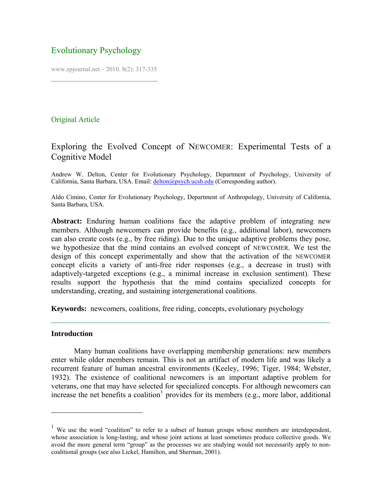# Evolutionary Psychology

www.epjournal.net – 2010. 8(2): 317-335

¯¯¯¯¯¯¯¯¯¯¯¯¯¯¯¯¯¯¯¯¯¯¯¯¯¯¯¯

# Original Article

# Exploring the Evolved Concept of NEWCOMER: Experimental Tests of a Cognitive Model

Andrew W. Delton, Center for Evolutionary Psychology, Department of Psychology, University of California, Santa Barbara, USA. Email: [delton@psych.ucsb.edu](mailto:delton@psych.ucsb.edu) (Corresponding author).

Aldo Cimino, Center for Evolutionary Psychology, Department of Anthropology, University of California, Santa Barbara, USA.

**Abstract:** Enduring human coalitions face the adaptive problem of integrating new members. Although newcomers can provide benefits (e.g., additional labor), newcomers can also create costs (e.g., by free riding). Due to the unique adaptive problems they pose, we hypothesize that the mind contains an evolved concept of NEWCOMER. We test the design of this concept experimentally and show that the activation of the NEWCOMER concept elicits a variety of anti-free rider responses (e.g., a decrease in trust) with adaptively-targeted exceptions (e.g., a minimal increase in exclusion sentiment). These results support the hypothesis that the mind contains specialized concepts for understanding, creating, and sustaining intergenerational coalitions.

**Keywords:** newcomers, coalitions, free riding, concepts, evolutionary psychology

#### **Introduction**

 $\overline{a}$ 

Many human coalitions have overlapping membership generations: new members enter while older members remain. This is not an artifact of modern life and was likely a recurrent feature of human ancestral environments (Keeley, 1996; Tiger, 1984; Webster, 1932). The existence of coalitional newcomers is an important adaptive problem for veterans, one that may have selected for specialized concepts. For although newcomers can increase the net benefits a coalition<sup>[1](#page-0-0)</sup> provides for its members (e.g., more labor, additional

**¯¯¯¯¯¯¯¯¯¯¯¯¯¯¯¯¯¯¯¯¯¯¯¯¯¯¯¯¯¯¯¯¯¯¯¯¯¯¯¯¯¯¯¯¯¯¯¯¯¯¯¯¯¯¯¯¯¯¯¯¯¯¯¯¯¯¯¯¯¯¯¯¯¯¯¯¯¯¯¯¯¯¯¯¯¯¯¯**

<span id="page-0-0"></span><sup>&</sup>lt;sup>1</sup> We use the word "coalition" to refer to a subset of human groups whose members are interdependent, whose association is long-lasting, and whose joint actions at least sometimes produce collective goods. We avoid the more general term "group" as the processes we are studying would not necessarily apply to noncoalitional groups (see also Lickel, Hamilton, and Sherman, 2001).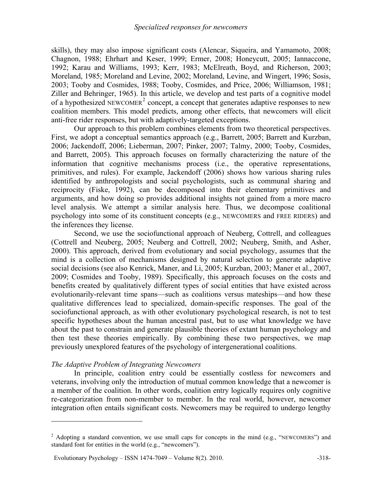skills), they may also impose significant costs (Alencar, Siqueira, and Yamamoto, 2008; Chagnon, 1988; Ehrhart and Keser, 1999; Ermer, 2008; Honeycutt, 2005; Iannaccone, 1992; Karau and Williams, 1993; Kerr, 1983; McElreath, Boyd, and Richerson, 2003; Moreland, 1985; Moreland and Levine, 2002; Moreland, Levine, and Wingert, 1996; Sosis, 2003; Tooby and Cosmides, 1988; Tooby, Cosmides, and Price, 2006; Williamson, 1981; Ziller and Behringer, 1965). In this article, we develop and test parts of a cognitive model of a hypothesized NEWCOMER<sup>[2](#page-1-0)</sup> concept, a concept that generates adaptive responses to new coalition members. This model predicts, among other effects, that newcomers will elicit anti-free rider responses, but with adaptively-targeted exceptions.

Our approach to this problem combines elements from two theoretical perspectives. First, we adopt a conceptual semantics approach (e.g., Barrett, 2005; Barrett and Kurzban, 2006; Jackendoff, 2006; Lieberman, 2007; Pinker, 2007; Talmy, 2000; Tooby, Cosmides, and Barrett, 2005). This approach focuses on formally characterizing the nature of the information that cognitive mechanisms process (i.e., the operative representations, primitives, and rules). For example, Jackendoff (2006) shows how various sharing rules identified by anthropologists and social psychologists, such as communal sharing and reciprocity (Fiske, 1992), can be decomposed into their elementary primitives and arguments, and how doing so provides additional insights not gained from a more macro level analysis. We attempt a similar analysis here. Thus, we decompose coalitional psychology into some of its constituent concepts (e.g., NEWCOMERS and FREE RIDERS) and the inferences they license.

Second, we use the sociofunctional approach of Neuberg, Cottrell, and colleagues (Cottrell and Neuberg, 2005; Neuberg and Cottrell, 2002; Neuberg, Smith, and Asher, 2000). This approach, derived from evolutionary and social psychology, assumes that the mind is a collection of mechanisms designed by natural selection to generate adaptive social decisions (see also Kenrick, Maner, and Li, 2005; Kurzban, 2003; Maner et al., 2007, 2009; Cosmides and Tooby, 1989). Specifically, this approach focuses on the costs and benefits created by qualitatively different types of social entities that have existed across evolutionarily-relevant time spans—such as coalitions versus mateships—and how these qualitative differences lead to specialized, domain-specific responses. The goal of the sociofunctional approach, as with other evolutionary psychological research, is not to test specific hypotheses about the human ancestral past, but to use what knowledge we have about the past to constrain and generate plausible theories of extant human psychology and then test these theories empirically. By combining these two perspectives, we map previously unexplored features of the psychology of intergenerational coalitions.

#### *The Adaptive Problem of Integrating Newcomers*

 $\overline{a}$ 

In principle, coalition entry could be essentially costless for newcomers and veterans, involving only the introduction of mutual common knowledge that a newcomer is a member of the coalition. In other words, coalition entry logically requires only cognitive re-categorization from non-member to member. In the real world, however, newcomer integration often entails significant costs. Newcomers may be required to undergo lengthy

<span id="page-1-0"></span><sup>&</sup>lt;sup>2</sup> Adopting a standard convention, we use small caps for concepts in the mind (e.g., "NEWCOMERS") and standard font for entities in the world (e.g., "newcomers").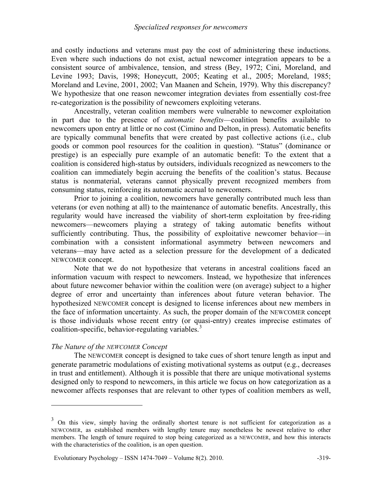and costly inductions and veterans must pay the cost of administering these inductions. Even where such inductions do not exist, actual newcomer integration appears to be a consistent source of ambivalence, tension, and stress (Bey, 1972; Cini, Moreland, and Levine 1993; Davis, 1998; Honeycutt, 2005; Keating et al., 2005; Moreland, 1985; Moreland and Levine, 2001, 2002; Van Maanen and Schein, 1979). Why this discrepancy? We hypothesize that one reason newcomer integration deviates from essentially cost-free re-categorization is the possibility of newcomers exploiting veterans.

Ancestrally, veteran coalition members were vulnerable to newcomer exploitation in part due to the presence of *automatic benefits*—coalition benefits available to newcomers upon entry at little or no cost (Cimino and Delton, in press). Automatic benefits are typically communal benefits that were created by past collective actions (i.e., club goods or common pool resources for the coalition in question). "Status" (dominance or prestige) is an especially pure example of an automatic benefit: To the extent that a coalition is considered high-status by outsiders, individuals recognized as newcomers to the coalition can immediately begin accruing the benefits of the coalition's status. Because status is nonmaterial, veterans cannot physically prevent recognized members from consuming status, reinforcing its automatic accrual to newcomers.

Prior to joining a coalition, newcomers have generally contributed much less than veterans (or even nothing at all) to the maintenance of automatic benefits. Ancestrally, this regularity would have increased the viability of short-term exploitation by free-riding newcomers—newcomers playing a strategy of taking automatic benefits without sufficiently contributing. Thus, the possibility of exploitative newcomer behavior—in combination with a consistent informational asymmetry between newcomers and veterans—may have acted as a selection pressure for the development of a dedicated NEWCOMER concept.

Note that we do not hypothesize that veterans in ancestral coalitions faced an information vacuum with respect to newcomers. Instead, we hypothesize that inferences about future newcomer behavior within the coalition were (on average) subject to a higher degree of error and uncertainty than inferences about future veteran behavior. The hypothesized NEWCOMER concept is designed to license inferences about new members in the face of information uncertainty. As such, the proper domain of the NEWCOMER concept is those individuals whose recent entry (or quasi-entry) creates imprecise estimates of coalition-specific, behavior-regulating variables. $3$ 

### *The Nature of the NEWCOMER Concept*

 $\overline{a}$ 

The NEWCOMER concept is designed to take cues of short tenure length as input and generate parametric modulations of existing motivational systems as output (e.g., decreases in trust and entitlement). Although it is possible that there are unique motivational systems designed only to respond to newcomers, in this article we focus on how categorization as a newcomer affects responses that are relevant to other types of coalition members as well,

<span id="page-2-0"></span> $3$  On this view, simply having the ordinally shortest tenure is not sufficient for categorization as a NEWCOMER, as established members with lengthy tenure may nonetheless be newest relative to other members. The length of tenure required to stop being categorized as a NEWCOMER, and how this interacts with the characteristics of the coalition, is an open question.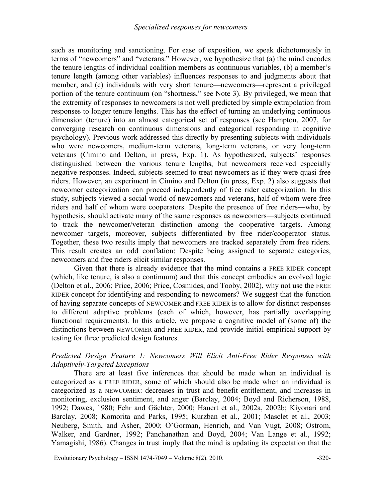such as monitoring and sanctioning. For ease of exposition, we speak dichotomously in terms of "newcomers" and "veterans." However, we hypothesize that (a) the mind encodes the tenure lengths of individual coalition members as continuous variables, (b) a member's tenure length (among other variables) influences responses to and judgments about that member, and (c) individuals with very short tenure—newcomers—represent a privileged portion of the tenure continuum (on "shortness," see Note 3). By privileged, we mean that the extremity of responses to newcomers is not well predicted by simple extrapolation from responses to longer tenure lengths. This has the effect of turning an underlying continuous dimension (tenure) into an almost categorical set of responses (see Hampton, 2007, for converging research on continuous dimensions and categorical responding in cognitive psychology). Previous work addressed this directly by presenting subjects with individuals who were newcomers, medium-term veterans, long-term veterans, or very long-term veterans (Cimino and Delton, in press, Exp. 1). As hypothesized, subjects' responses distinguished between the various tenure lengths, but newcomers received especially negative responses. Indeed, subjects seemed to treat newcomers as if they were quasi-free riders. However, an experiment in Cimino and Delton (in press, Exp. 2) also suggests that newcomer categorization can proceed independently of free rider categorization. In this study, subjects viewed a social world of newcomers and veterans, half of whom were free riders and half of whom were cooperators. Despite the presence of free riders—who, by hypothesis, should activate many of the same responses as newcomers—subjects continued to track the newcomer/veteran distinction among the cooperative targets. Among newcomer targets, moreover, subjects differentiated by free rider/cooperator status. Together, these two results imply that newcomers are tracked separately from free riders. This result creates an odd conflation: Despite being assigned to separate categories, newcomers and free riders elicit similar responses.

Given that there is already evidence that the mind contains a FREE RIDER concept (which, like tenure, is also a continuum) and that this concept embodies an evolved logic (Delton et al., 2006; Price, 2006; Price, Cosmides, and Tooby, 2002), why not use the FREE RIDER concept for identifying and responding to newcomers? We suggest that the function of having separate concepts of NEWCOMER and FREE RIDER is to allow for distinct responses to different adaptive problems (each of which, however, has partially overlapping functional requirements). In this article, we propose a cognitive model of (some of) the distinctions between NEWCOMER and FREE RIDER, and provide initial empirical support by testing for three predicted design features.

# *Predicted Design Feature 1: Newcomers Will Elicit Anti-Free Rider Responses with Adaptively-Targeted Exceptions*

There are at least five inferences that should be made when an individual is categorized as a FREE RIDER, some of which should also be made when an individual is categorized as a NEWCOMER: decreases in trust and benefit entitlement, and increases in monitoring, exclusion sentiment, and anger (Barclay, 2004; Boyd and Richerson, 1988, 1992; Dawes, 1980; Fehr and Gächter, 2000; Hauert et al., 2002a, 2002b; Kiyonari and Barclay, 2008; Komorita and Parks, 1995; Kurzban et al., 2001; Masclet et al., 2003; Neuberg, Smith, and Asher, 2000; O'Gorman, Henrich, and Van Vugt, 2008; Ostrom, Walker, and Gardner, 1992; Panchanathan and Boyd, 2004; Van Lange et al., 1992; Yamagishi, 1986). Changes in trust imply that the mind is updating its expectation that the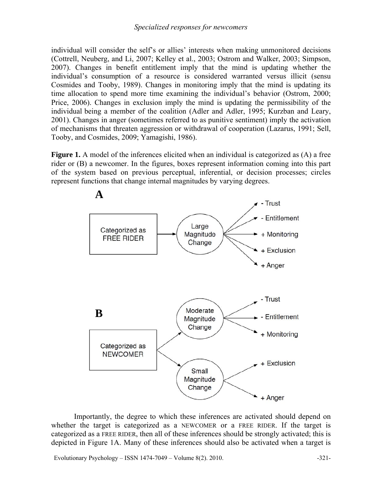individual will consider the self's or allies' interests when making unmonitored decisions (Cottrell, Neuberg, and Li, 2007; Kelley et al., 2003; Ostrom and Walker, 2003; Simpson, 2007). Changes in benefit entitlement imply that the mind is updating whether the individual's consumption of a resource is considered warranted versus illicit (sensu Cosmides and Tooby, 1989). Changes in monitoring imply that the mind is updating its time allocation to spend more time examining the individual's behavior (Ostrom, 2000; Price, 2006). Changes in exclusion imply the mind is updating the permissibility of the individual being a member of the coalition (Adler and Adler, 1995; Kurzban and Leary, 2001). Changes in anger (sometimes referred to as punitive sentiment) imply the activation of mechanisms that threaten aggression or withdrawal of cooperation (Lazarus, 1991; Sell, Tooby, and Cosmides, 2009; Yamagishi, 1986).

**Figure 1.** A model of the inferences elicited when an individual is categorized as (A) a free rider or (B) a newcomer. In the figures, boxes represent information coming into this part of the system based on previous perceptual, inferential, or decision processes; circles represent functions that change internal magnitudes by varying degrees.



Importantly, the degree to which these inferences are activated should depend on whether the target is categorized as a NEWCOMER or a FREE RIDER. If the target is categorized as a FREE RIDER, then all of these inferences should be strongly activated; this is depicted in Figure 1A. Many of these inferences should also be activated when a target is

Evolutionary Psychology – ISSN 1474-7049 – Volume 8(2). 2010. -321-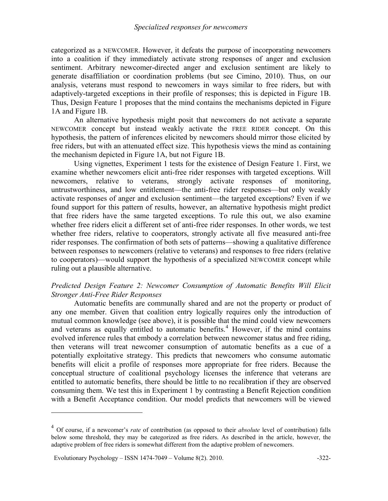categorized as a NEWCOMER. However, it defeats the purpose of incorporating newcomers into a coalition if they immediately activate strong responses of anger and exclusion sentiment. Arbitrary newcomer-directed anger and exclusion sentiment are likely to generate disaffiliation or coordination problems (but see Cimino, 2010). Thus, on our analysis, veterans must respond to newcomers in ways similar to free riders, but with adaptively-targeted exceptions in their profile of responses; this is depicted in Figure 1B. Thus, Design Feature 1 proposes that the mind contains the mechanisms depicted in Figure 1A and Figure 1B.

An alternative hypothesis might posit that newcomers do not activate a separate NEWCOMER concept but instead weakly activate the FREE RIDER concept. On this hypothesis, the pattern of inferences elicited by newcomers should mirror those elicited by free riders, but with an attenuated effect size. This hypothesis views the mind as containing the mechanism depicted in Figure 1A, but not Figure 1B.

Using vignettes, Experiment 1 tests for the existence of Design Feature 1. First, we examine whether newcomers elicit anti-free rider responses with targeted exceptions. Will newcomers, relative to veterans, strongly activate responses of monitoring, untrustworthiness, and low entitlement—the anti-free rider responses—but only weakly activate responses of anger and exclusion sentiment—the targeted exceptions? Even if we found support for this pattern of results, however, an alternative hypothesis might predict that free riders have the same targeted exceptions. To rule this out, we also examine whether free riders elicit a different set of anti-free rider responses. In other words, we test whether free riders, relative to cooperators, strongly activate all five measured anti-free rider responses. The confirmation of both sets of patterns—showing a qualitative difference between responses to newcomers (relative to veterans) and responses to free riders (relative to cooperators)—would support the hypothesis of a specialized NEWCOMER concept while ruling out a plausible alternative.

# *Predicted Design Feature 2: Newcomer Consumption of Automatic Benefits Will Elicit Stronger Anti-Free Rider Responses*

Automatic benefits are communally shared and are not the property or product of any one member. Given that coalition entry logically requires only the introduction of mutual common knowledge (see above), it is possible that the mind could view newcomers and veterans as equally entitled to automatic benefits.<sup>[4](#page-5-0)</sup> However, if the mind contains evolved inference rules that embody a correlation between newcomer status and free riding, then veterans will treat newcomer consumption of automatic benefits as a cue of a potentially exploitative strategy. This predicts that newcomers who consume automatic benefits will elicit a profile of responses more appropriate for free riders. Because the conceptual structure of coalitional psychology licenses the inference that veterans are entitled to automatic benefits, there should be little to no recalibration if they are observed consuming them. We test this in Experiment 1 by contrasting a Benefit Rejection condition with a Benefit Acceptance condition. Our model predicts that newcomers will be viewed

 $\overline{a}$ 

<span id="page-5-0"></span><sup>4</sup> Of course, if a newcomer's *rate* of contribution (as opposed to their *absolute* level of contribution) falls below some threshold, they may be categorized as free riders. As described in the article, however, the adaptive problem of free riders is somewhat different from the adaptive problem of newcomers.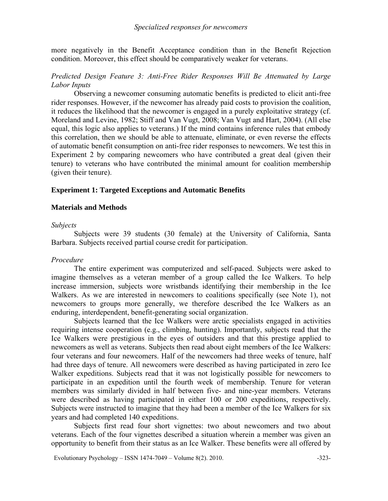more negatively in the Benefit Acceptance condition than in the Benefit Rejection condition. Moreover, this effect should be comparatively weaker for veterans.

# *Predicted Design Feature 3: Anti-Free Rider Responses Will Be Attenuated by Large Labor Inputs*

Observing a newcomer consuming automatic benefits is predicted to elicit anti-free rider responses. However, if the newcomer has already paid costs to provision the coalition, it reduces the likelihood that the newcomer is engaged in a purely exploitative strategy (cf. Moreland and Levine, 1982; Stiff and Van Vugt, 2008; Van Vugt and Hart, 2004). (All else equal, this logic also applies to veterans.) If the mind contains inference rules that embody this correlation, then we should be able to attenuate, eliminate, or even reverse the effects of automatic benefit consumption on anti-free rider responses to newcomers. We test this in Experiment 2 by comparing newcomers who have contributed a great deal (given their tenure) to veterans who have contributed the minimal amount for coalition membership (given their tenure).

## **Experiment 1: Targeted Exceptions and Automatic Benefits**

### **Materials and Methods**

#### *Subjects*

Subjects were 39 students (30 female) at the University of California, Santa Barbara. Subjects received partial course credit for participation.

### *Procedure*

The entire experiment was computerized and self-paced. Subjects were asked to imagine themselves as a veteran member of a group called the Ice Walkers. To help increase immersion, subjects wore wristbands identifying their membership in the Ice Walkers. As we are interested in newcomers to coalitions specifically (see Note 1), not newcomers to groups more generally, we therefore described the Ice Walkers as an enduring, interdependent, benefit-generating social organization.

Subjects learned that the Ice Walkers were arctic specialists engaged in activities requiring intense cooperation (e.g., climbing, hunting). Importantly, subjects read that the Ice Walkers were prestigious in the eyes of outsiders and that this prestige applied to newcomers as well as veterans. Subjects then read about eight members of the Ice Walkers: four veterans and four newcomers. Half of the newcomers had three weeks of tenure, half had three days of tenure. All newcomers were described as having participated in zero Ice Walker expeditions. Subjects read that it was not logistically possible for newcomers to participate in an expedition until the fourth week of membership. Tenure for veteran members was similarly divided in half between five- and nine-year members. Veterans were described as having participated in either 100 or 200 expeditions, respectively. Subjects were instructed to imagine that they had been a member of the Ice Walkers for six years and had completed 140 expeditions.

Subjects first read four short vignettes: two about newcomers and two about veterans. Each of the four vignettes described a situation wherein a member was given an opportunity to benefit from their status as an Ice Walker. These benefits were all offered by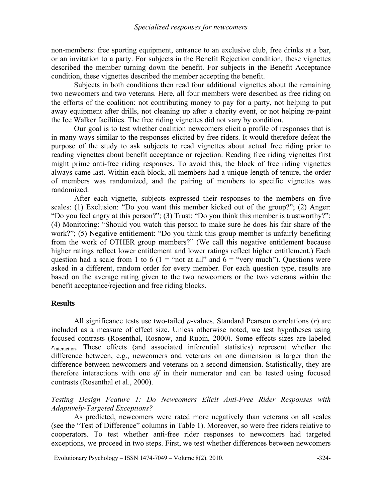non-members: free sporting equipment, entrance to an exclusive club, free drinks at a bar, or an invitation to a party. For subjects in the Benefit Rejection condition, these vignettes described the member turning down the benefit. For subjects in the Benefit Acceptance condition, these vignettes described the member accepting the benefit.

Subjects in both conditions then read four additional vignettes about the remaining two newcomers and two veterans. Here, all four members were described as free riding on the efforts of the coalition: not contributing money to pay for a party, not helping to put away equipment after drills, not cleaning up after a charity event, or not helping re-paint the Ice Walker facilities. The free riding vignettes did not vary by condition.

Our goal is to test whether coalition newcomers elicit a profile of responses that is in many ways similar to the responses elicited by free riders. It would therefore defeat the purpose of the study to ask subjects to read vignettes about actual free riding prior to reading vignettes about benefit acceptance or rejection. Reading free riding vignettes first might prime anti-free riding responses. To avoid this, the block of free riding vignettes always came last. Within each block, all members had a unique length of tenure, the order of members was randomized, and the pairing of members to specific vignettes was randomized.

After each vignette, subjects expressed their responses to the members on five scales: (1) Exclusion: "Do you want this member kicked out of the group?"; (2) Anger: "Do you feel angry at this person?"; (3) Trust: "Do you think this member is trustworthy?"; (4) Monitoring: "Should you watch this person to make sure he does his fair share of the work?"; (5) Negative entitlement: "Do you think this group member is unfairly benefiting from the work of OTHER group members?" (We call this negative entitlement because higher ratings reflect lower entitlement and lower ratings reflect higher entitlement.) Each question had a scale from 1 to 6 (1 = "not at all" and  $6 =$  "very much"). Questions were asked in a different, random order for every member. For each question type, results are based on the average rating given to the two newcomers or the two veterans within the benefit acceptance/rejection and free riding blocks.

## **Results**

All significance tests use two-tailed *p*-values. Standard Pearson correlations (*r*) are included as a measure of effect size. Unless otherwise noted, we test hypotheses using focused contrasts (Rosenthal, Rosnow, and Rubin, 2000). Some effects sizes are labeled *r*<sub>interaction</sub>. These effects (and associated inferential statistics) represent whether the difference between, e.g., newcomers and veterans on one dimension is larger than the difference between newcomers and veterans on a second dimension. Statistically, they are therefore interactions with one *df* in their numerator and can be tested using focused contrasts (Rosenthal et al., 2000).

*Testing Design Feature 1: Do Newcomers Elicit Anti-Free Rider Responses with Adaptively-Targeted Exceptions?* 

As predicted, newcomers were rated more negatively than veterans on all scales (see the "Test of Difference" columns in Table 1). Moreover, so were free riders relative to cooperators. To test whether anti-free rider responses to newcomers had targeted exceptions, we proceed in two steps. First, we test whether differences between newcomers

Evolutionary Psychology – ISSN 1474-7049 – Volume 8(2). 2010. -324-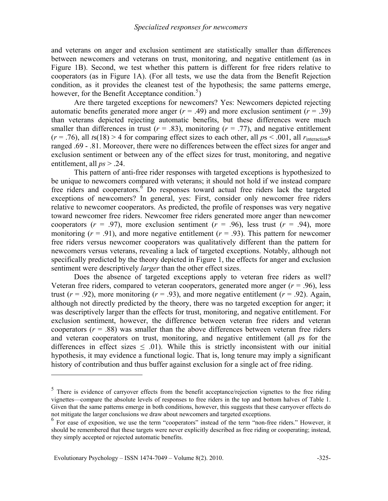and veterans on anger and exclusion sentiment are statistically smaller than differences between newcomers and veterans on trust, monitoring, and negative entitlement (as in Figure 1B). Second, we test whether this pattern is different for free riders relative to cooperators (as in Figure 1A). (For all tests, we use the data from the Benefit Rejection condition, as it provides the cleanest test of the hypothesis; the same patterns emerge, however, for the Benefit Acceptance condition.<sup>[5](#page-8-0)</sup>)

Are there targeted exceptions for newcomers? Yes: Newcomers depicted rejecting automatic benefits generated more anger  $(r = .49)$  and more exclusion sentiment  $(r = .39)$ than veterans depicted rejecting automatic benefits, but these differences were much smaller than differences in trust  $(r = .83)$ , monitoring  $(r = .77)$ , and negative entitlement  $(r = .76)$ , all  $t s(18) > 4$  for comparing effect sizes to each other, all  $p s < .001$ , all  $r_{interactions} s$ ranged .69 - .81. Moreover, there were no differences between the effect sizes for anger and exclusion sentiment or between any of the effect sizes for trust, monitoring, and negative entitlement, all *ps* > .24.

This pattern of anti-free rider responses with targeted exceptions is hypothesized to be unique to newcomers compared with veterans; it should not hold if we instead compare free riders and cooperators. $6$  Do responses toward actual free riders lack the targeted exceptions of newcomers? In general, yes: First, consider only newcomer free riders relative to newcomer cooperators. As predicted, the profile of responses was very negative toward newcomer free riders. Newcomer free riders generated more anger than newcomer cooperators  $(r = .97)$ , more exclusion sentiment  $(r = .96)$ , less trust  $(r = .94)$ , more monitoring  $(r = .91)$ , and more negative entitlement  $(r = .93)$ . This pattern for newcomer free riders versus newcomer cooperators was qualitatively different than the pattern for newcomers versus veterans, revealing a lack of targeted exceptions. Notably, although not specifically predicted by the theory depicted in Figure 1, the effects for anger and exclusion sentiment were descriptively *larger* than the other effect sizes.

Does the absence of targeted exceptions apply to veteran free riders as well? Veteran free riders, compared to veteran cooperators, generated more anger  $(r = .96)$ , less trust ( $r = .92$ ), more monitoring ( $r = .93$ ), and more negative entitlement ( $r = .92$ ). Again, although not directly predicted by the theory, there was no targeted exception for anger; it was descriptively larger than the effects for trust, monitoring, and negative entitlement. For exclusion sentiment, however, the difference between veteran free riders and veteran cooperators  $(r = .88)$  was smaller than the above differences between veteran free riders and veteran cooperators on trust, monitoring, and negative entitlement (all *p*s for the differences in effect sizes  $\leq$  .01). While this is strictly inconsistent with our initial hypothesis, it may evidence a functional logic. That is, long tenure may imply a significant history of contribution and thus buffer against exclusion for a single act of free riding.

 $\overline{a}$ 

<span id="page-8-0"></span><sup>&</sup>lt;sup>5</sup> There is evidence of carryover effects from the benefit acceptance/rejection vignettes to the free riding vignettes—compare the absolute levels of responses to free riders in the top and bottom halves of Table 1. Given that the same patterns emerge in both conditions, however, this suggests that these carryover effects do not mitigate the larger conclusions we draw about newcomers and targeted exceptions.

<span id="page-8-1"></span><sup>&</sup>lt;sup>6</sup> For ease of exposition, we use the term "cooperators" instead of the term "non-free riders." However, it should be remembered that these targets were never explicitly described as free riding or cooperating; instead, they simply accepted or rejected automatic benefits.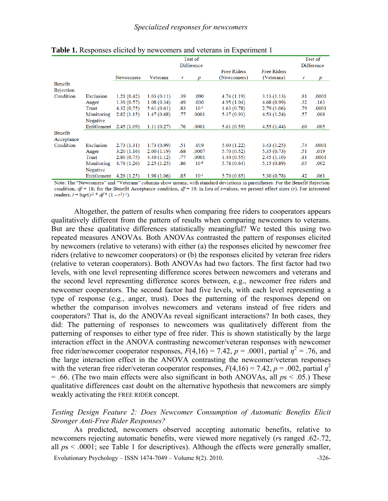|            |             |                  | Test of<br>Difference |     |                  |                    |                    |     |       |  |
|------------|-------------|------------------|-----------------------|-----|------------------|--------------------|--------------------|-----|-------|--|
|            |             |                  |                       |     |                  | <b>Free Riders</b> | <b>Free Riders</b> |     |       |  |
|            |             | <b>Newcomers</b> | Veterans              | r   | $\boldsymbol{p}$ | (Newcomers)        | (Veterans)         | r   | p     |  |
| Benefit    |             |                  |                       |     |                  |                    |                    |     |       |  |
| Rejection  |             |                  |                       |     |                  |                    |                    |     |       |  |
| Condition  | Exclusion   | 1.21(0.42)       | 1.03(0.11)            | .39 | .090             | 4.74(1.19)         | 3.13(1.13)         | .81 | .0001 |  |
|            | Anger       | 1.39(0.57)       | 1.08(0.34)            | .49 | .030             | 4.95(1.04)         | 4.68(0.99)         | .32 | .163  |  |
|            | Trust       | 4.32(0.75)       | 5.61(0.61)            | .83 | $10^{-5}$        | 1.63(0.78)         | 2.79(1.06)         | .79 | .0001 |  |
|            | Monitoring  | 2.82(1.15)       | 1.47(0.68)            | .77 | .0001            | 5.37(0.93)         | 4.53(1.24)         | .57 | .008  |  |
|            | Negative    |                  |                       |     |                  |                    |                    |     |       |  |
|            | Entitlement | 2.45(1.09)       | 1.11(0.27)            | .76 | .0001            | 5.61(0.59)         | 4.55(1.44)         | .60 | .005  |  |
| Benefit    |             |                  |                       |     |                  |                    |                    |     |       |  |
| Acceptance |             |                  |                       |     |                  |                    |                    |     |       |  |
| Condition  | Exclusion   | 2.73(1.31)       | 1.73(0.99)            | .51 | .019             | 5.00(1.22)         | 3.43(1.25)         | .74 | .0001 |  |
|            | Anger       | 3.20(1.16)       | 2.00(1.19)            | .68 | .0007            | 5.70 (0.52)        | 5.35(0.73)         | .51 | .019  |  |
|            | Trust       | 2.80(0.75)       | 4.40(1.12)            | .77 | .0001            | 1.40(0.55)         | 2.45(1.10)         | .81 | .0001 |  |
|            | Monitoring  | 4.78(1.26)       | 2.25(1.25)            | .86 | $10^{-6}$        | 5.78(0.64)         | 5.15(0.89)         | .65 | .002  |  |
|            | Negative    |                  |                       |     |                  |                    |                    |     |       |  |
|            | Entitlement | 4.28(1.25)       | 1.98(1.06)            | .85 | $10^{-5}$        | 5.70(0.85)         | 5.30(0.78)         | .42 | .061  |  |

**Table 1.** Responses elicited by newcomers and veterans in Experiment 1

Note: The "Newcomers" and "Veterans" columns show means, with standard deviations in parentheses. For the Benefit Rejection condition,  $df = 18$ ; for the Benefit Acceptance condition,  $df = 19$ . In lieu of *t*-values, we present effect sizes (*r*). For interested readers,  $t = \text{Sqrt}(r^2 * df^* (1 - r^2)^{-1}).$ 

Altogether, the pattern of results when comparing free riders to cooperators appears qualitatively different from the pattern of results when comparing newcomers to veterans. But are these qualitative differences statistically meaningful? We tested this using two repeated measures ANOVAs. Both ANOVAs contrasted the pattern of responses elicited by newcomers (relative to veterans) with either (a) the responses elicited by newcomer free riders (relative to newcomer cooperators) or (b) the responses elicited by veteran free riders (relative to veteran cooperators). Both ANOVAs had two factors. The first factor had two levels, with one level representing difference scores between newcomers and veterans and the second level representing difference scores between, e.g., newcomer free riders and newcomer cooperators. The second factor had five levels, with each level representing a type of response (e.g., anger, trust). Does the patterning of the responses depend on whether the comparison involves newcomers and veterans instead of free riders and cooperators? That is, do the ANOVAs reveal significant interactions? In both cases, they did: The patterning of responses to newcomers was qualitatively different from the patterning of responses to either type of free rider. This is shown statistically by the large interaction effect in the ANOVA contrasting newcomer/veteran responses with newcomer free rider/newcomer cooperator responses,  $F(4,16) = 7.42$ ,  $p = .0001$ , partial  $\eta^2 = .76$ , and the large interaction effect in the ANOVA contrasting the newcomer/veteran responses with the veteran free rider/veteran cooperator responses,  $F(4,16) = 7.42$ ,  $p = .002$ , partial  $\eta^2$ = .66. (The two main effects were also significant in both ANOVAs, all *p*s < .05.) These qualitative differences cast doubt on the alternative hypothesis that newcomers are simply weakly activating the FREE RIDER concept.

# *Testing Design Feature 2: Does Newcomer Consumption of Automatic Benefits Elicit Stronger Anti-Free Rider Responses?*

As predicted, newcomers observed accepting automatic benefits, relative to newcomers rejecting automatic benefits, were viewed more negatively (*r*s ranged .62-.72, all  $p_s$  < .0001; see Table 1 for descriptives). Although the effects were generally smaller,

Evolutionary Psychology – ISSN 1474-7049 – Volume 8(2). 2010. -326-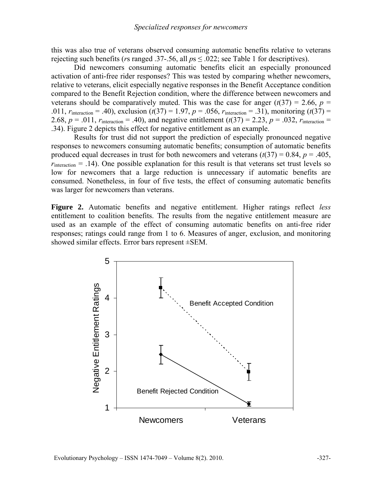this was also true of veterans observed consuming automatic benefits relative to veterans rejecting such benefits (*r*s ranged .37-.56, all *p*s ≤ .022; see Table 1 for descriptives).

Did newcomers consuming automatic benefits elicit an especially pronounced activation of anti-free rider responses? This was tested by comparing whether newcomers, relative to veterans, elicit especially negative responses in the Benefit Acceptance condition compared to the Benefit Rejection condition, where the difference between newcomers and veterans should be comparatively muted. This was the case for anger  $(t(37) = 2.66, p =$ .011,  $r_{\text{interaction}} = .40$ , exclusion ( $t(37) = 1.97$ ,  $p = .056$ ,  $r_{\text{interaction}} = .31$ ), monitoring ( $t(37) =$ 2.68,  $p = .011$ ,  $r_{\text{interaction}} = .40$ ), and negative entitlement ( $t(37) = 2.23$ ,  $p = .032$ ,  $r_{\text{interaction}} =$ .34). Figure 2 depicts this effect for negative entitlement as an example.

Results for trust did not support the prediction of especially pronounced negative responses to newcomers consuming automatic benefits; consumption of automatic benefits produced equal decreases in trust for both newcomers and veterans  $(t(37) = 0.84, p = .405,$  $r_{\text{interaction}} = .14$ ). One possible explanation for this result is that veterans set trust levels so low for newcomers that a large reduction is unnecessary if automatic benefits are consumed. Nonetheless, in four of five tests, the effect of consuming automatic benefits was larger for newcomers than veterans.

**Figure 2.** Automatic benefits and negative entitlement. Higher ratings reflect *less* entitlement to coalition benefits. The results from the negative entitlement measure are used as an example of the effect of consuming automatic benefits on anti-free rider responses; ratings could range from 1 to 6. Measures of anger, exclusion, and monitoring showed similar effects. Error bars represent ±SEM.



Evolutionary Psychology – ISSN 1474-7049 – Volume 8(2). 2010. -327-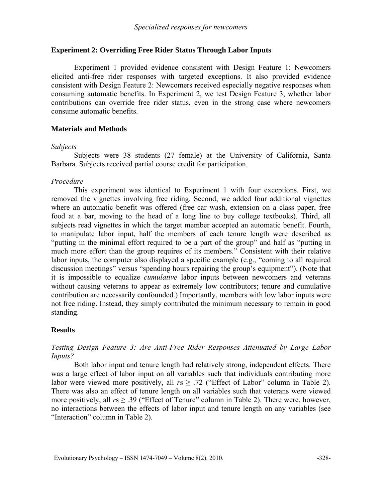## **Experiment 2: Overriding Free Rider Status Through Labor Inputs**

Experiment 1 provided evidence consistent with Design Feature 1: Newcomers elicited anti-free rider responses with targeted exceptions. It also provided evidence consistent with Design Feature 2: Newcomers received especially negative responses when consuming automatic benefits. In Experiment 2, we test Design Feature 3, whether labor contributions can override free rider status, even in the strong case where newcomers consume automatic benefits.

# **Materials and Methods**

## *Subjects*

Subjects were 38 students (27 female) at the University of California, Santa Barbara. Subjects received partial course credit for participation.

# *Procedure*

This experiment was identical to Experiment 1 with four exceptions. First, we removed the vignettes involving free riding. Second, we added four additional vignettes where an automatic benefit was offered (free car wash, extension on a class paper, free food at a bar, moving to the head of a long line to buy college textbooks). Third, all subjects read vignettes in which the target member accepted an automatic benefit. Fourth, to manipulate labor input, half the members of each tenure length were described as "putting in the minimal effort required to be a part of the group" and half as "putting in much more effort than the group requires of its members." Consistent with their relative labor inputs, the computer also displayed a specific example (e.g., "coming to all required discussion meetings" versus "spending hours repairing the group's equipment"). (Note that it is impossible to equalize *cumulative* labor inputs between newcomers and veterans without causing veterans to appear as extremely low contributors; tenure and cumulative contribution are necessarily confounded.) Importantly, members with low labor inputs were not free riding. Instead, they simply contributed the minimum necessary to remain in good standing.

# **Results**

# *Testing Design Feature 3: Are Anti-Free Rider Responses Attenuated by Large Labor Inputs?*

Both labor input and tenure length had relatively strong, independent effects. There was a large effect of labor input on all variables such that individuals contributing more labor were viewed more positively, all  $rs \geq .72$  ("Effect of Labor" column in Table 2). There was also an effect of tenure length on all variables such that veterans were viewed more positively, all  $rs \geq 0.39$  ("Effect of Tenure" column in Table 2). There were, however, no interactions between the effects of labor input and tenure length on any variables (see "Interaction" column in Table 2).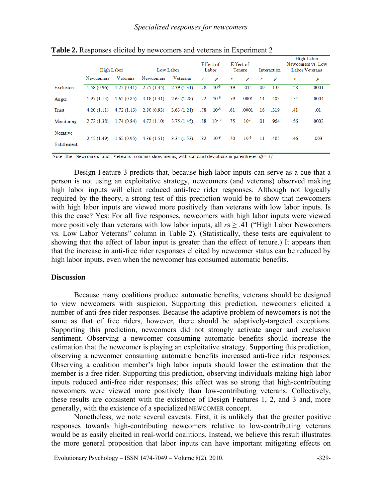|                         | <b>High Labor</b> |            | Low Labor  |            | Effect of<br>Labor |                  | Effect of<br>Tenure |                  | Interaction |      | <b>High Labor</b><br>Newcomers vs. Low<br>Labor Veterans |                  |
|-------------------------|-------------------|------------|------------|------------|--------------------|------------------|---------------------|------------------|-------------|------|----------------------------------------------------------|------------------|
|                         | Newcomers         | Veterans   | Newcomers  | Veterans   | r                  | $\boldsymbol{p}$ | r                   | $\boldsymbol{p}$ | r           | p    | r                                                        | $\boldsymbol{p}$ |
| Exclusion               | 1.58(0.96)        | 1.22(0.41) | 2.75(1.45) | 2.39(1.31) | .78                | $10^{-8}$        | .39                 | .014             | .00         | 1.0  | .58                                                      | .0001            |
| Anger                   | 1.97(1.13)        | 1.62(0.85) | 3.18(1.41) | 2.64(1.28) | .72                | $10^{-6}$        | .59                 | .0001            | .14         | .403 | .54                                                      | .0004            |
| Trust                   | 4.20(1.11)        | 4.72(1.13) | 2.80(0.93) | 3.63(1.21) |                    | $.78 \t10^{-8}$  | .61                 | .0001            | .16         | 319  | .41                                                      | .01              |
| Monitoring              | 2.72(1.38)        | 1.74(0.84) | 4.72(1.10) | 3.75(1.45) | .88                | $10^{-12}$       | .75                 | $10^{-7}$        | .01         | .964 | .56                                                      | .0002            |
| Negative<br>Entitlement | 2.45(1.49)        | 1.62(0.95) | 4.36(1.51) | 3.34(1.53) | .82                | $10^{-9}$        | .70                 | $10^{-6}$        | .11         | -485 | .46                                                      | .003             |

**Table 2.** Responses elicited by newcomers and veterans in Experiment 2

Note: The "Newcomers" and "Veterans" columns show means, with standard deviations in parentheses.  $df = 37$ .

Design Feature 3 predicts that, because high labor inputs can serve as a cue that a person is not using an exploitative strategy, newcomers (and veterans) observed making high labor inputs will elicit reduced anti-free rider responses. Although not logically required by the theory, a strong test of this prediction would be to show that newcomers with high labor inputs are viewed more positively than veterans with low labor inputs. Is this the case? Yes: For all five responses, newcomers with high labor inputs were viewed more positively than veterans with low labor inputs, all  $rs \geq .41$  ("High Labor Newcomers") vs. Low Labor Veterans" column in Table 2). (Statistically, these tests are equivalent to showing that the effect of labor input is greater than the effect of tenure.) It appears then that the increase in anti-free rider responses elicited by newcomer status can be reduced by high labor inputs, even when the newcomer has consumed automatic benefits.

### **Discussion**

Because many coalitions produce automatic benefits, veterans should be designed to view newcomers with suspicion. Supporting this prediction, newcomers elicited a number of anti-free rider responses. Because the adaptive problem of newcomers is not the same as that of free riders, however, there should be adaptively-targeted exceptions. Supporting this prediction, newcomers did not strongly activate anger and exclusion sentiment. Observing a newcomer consuming automatic benefits should increase the estimation that the newcomer is playing an exploitative strategy. Supporting this prediction, observing a newcomer consuming automatic benefits increased anti-free rider responses. Observing a coalition member's high labor inputs should lower the estimation that the member is a free rider. Supporting this prediction, observing individuals making high labor inputs reduced anti-free rider responses; this effect was so strong that high-contributing newcomers were viewed more positively than low-contributing veterans. Collectively, these results are consistent with the existence of Design Features 1, 2, and 3 and, more generally, with the existence of a specialized NEWCOMER concept.

Nonetheless, we note several caveats. First, it is unlikely that the greater positive responses towards high-contributing newcomers relative to low-contributing veterans would be as easily elicited in real-world coalitions. Instead, we believe this result illustrates the more general proposition that labor inputs can have important mitigating effects on

Evolutionary Psychology – ISSN 1474-7049 – Volume 8(2). 2010. -329-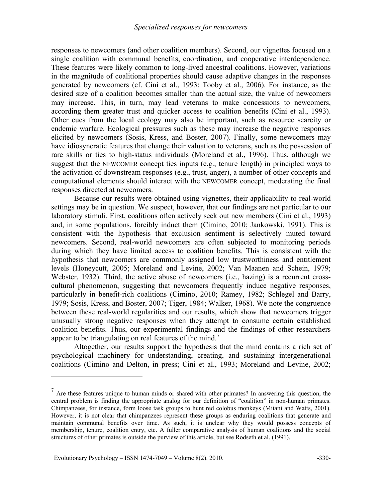responses to newcomers (and other coalition members). Second, our vignettes focused on a single coalition with communal benefits, coordination, and cooperative interdependence. These features were likely common to long-lived ancestral coalitions. However, variations in the magnitude of coalitional properties should cause adaptive changes in the responses generated by newcomers (cf. Cini et al., 1993; Tooby et al., 2006). For instance, as the desired size of a coalition becomes smaller than the actual size, the value of newcomers may increase. This, in turn, may lead veterans to make concessions to newcomers, according them greater trust and quicker access to coalition benefits (Cini et al., 1993). Other cues from the local ecology may also be important, such as resource scarcity or endemic warfare. Ecological pressures such as these may increase the negative responses elicited by newcomers (Sosis, Kress, and Boster, 2007). Finally, some newcomers may have idiosyncratic features that change their valuation to veterans, such as the possession of rare skills or ties to high-status individuals (Moreland et al., 1996). Thus, although we suggest that the NEWCOMER concept ties inputs (e.g., tenure length) in principled ways to the activation of downstream responses (e.g., trust, anger), a number of other concepts and computational elements should interact with the NEWCOMER concept, moderating the final responses directed at newcomers.

Because our results were obtained using vignettes, their applicability to real-world settings may be in question. We suspect, however, that our findings are not particular to our laboratory stimuli. First, coalitions often actively seek out new members (Cini et al., 1993) and, in some populations, forcibly induct them (Cimino, 2010; Jankowski, 1991). This is consistent with the hypothesis that exclusion sentiment is selectively muted toward newcomers. Second, real-world newcomers are often subjected to monitoring periods during which they have limited access to coalition benefits. This is consistent with the hypothesis that newcomers are commonly assigned low trustworthiness and entitlement levels (Honeycutt, 2005; Moreland and Levine, 2002; Van Maanen and Schein, 1979; Webster, 1932). Third, the active abuse of newcomers (i.e., hazing) is a recurrent crosscultural phenomenon, suggesting that newcomers frequently induce negative responses, particularly in benefit-rich coalitions (Cimino, 2010; Ramey, 1982; Schlegel and Barry, 1979; Sosis, Kress, and Boster, 2007; Tiger, 1984; Walker, 1968). We note the congruence between these real-world regularities and our results, which show that newcomers trigger unusually strong negative responses when they attempt to consume certain established coalition benefits. Thus, our experimental findings and the findings of other researchers appear to be triangulating on real features of the mind.<sup>[7](#page-13-0)</sup>

Altogether, our results support the hypothesis that the mind contains a rich set of psychological machinery for understanding, creating, and sustaining intergenerational coalitions (Cimino and Delton, in press; Cini et al., 1993; Moreland and Levine, 2002;

 $\overline{a}$ 

<span id="page-13-0"></span> $<sup>7</sup>$  Are these features unique to human minds or shared with other primates? In answering this question, the</sup> central problem is finding the appropriate analog for our definition of "coalition" in non-human primates. Chimpanzees, for instance, form loose task groups to hunt red colobus monkeys (Mitani and Watts, 2001). However, it is not clear that chimpanzees represent these groups as enduring coalitions that generate and maintain communal benefits over time. As such, it is unclear why they would possess concepts of membership, tenure, coalition entry, etc. A fuller comparative analysis of human coalitions and the social structures of other primates is outside the purview of this article, but see Rodseth et al. (1991).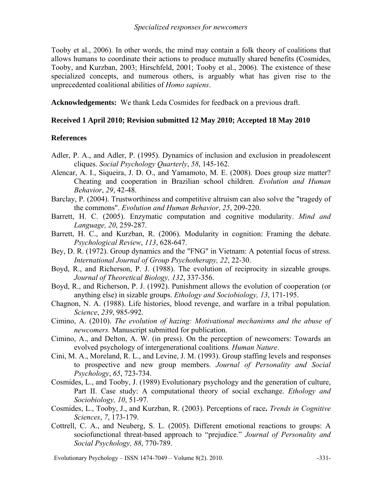Tooby et al., 2006). In other words, the mind may contain a folk theory of coalitions that allows humans to coordinate their actions to produce mutually shared benefits (Cosmides, Tooby, and Kurzban, 2003; Hirschfeld, 2001; Tooby et al., 2006). The existence of these specialized concepts, and numerous others, is arguably what has given rise to the unprecedented coalitional abilities of *Homo sapiens*.

**Acknowledgements:** We thank Leda Cosmides for feedback on a previous draft.

## **Received 1 April 2010; Revision submitted 12 May 2010; Accepted 18 May 2010**

## **References**

- Adler, P. A., and Adler, P. (1995). Dynamics of inclusion and exclusion in preadolescent cliques. *Social Psychology Quarterly*, *58*, 145-162.
- Alencar, A. I., Siqueira, J. D. O., and Yamamoto, M. E. (2008). Does group size matter? Cheating and cooperation in Brazilian school children. *Evolution and Human Behavior*, *29*, 42-48.
- Barclay, P. (2004). Trustworthiness and competitive altruism can also solve the "tragedy of the commons". *Evolution and Human Behavior*, *25*, 209-220.
- Barrett, H. C. (2005). Enzymatic computation and cognitive modularity. *Mind and Language, 20*, 259-287.
- Barrett, H. C., and Kurzban, R. (2006). Modularity in cognition: Framing the debate. *Psychological Review*, *113*, 628-647.
- Bey, D. R. (1972). Group dynamics and the "FNG" in Vietnam: A potential focus of stress. *International Journal of Group Psychotherapy, 22*, 22-30.
- Boyd, R., and Richerson, P. J. (1988). The evolution of reciprocity in sizeable groups. *Journal of Theoretical Biology, 132*, 337-356.
- Boyd, R., and Richerson, P. J. (1992). Punishment allows the evolution of cooperation (or anything else) in sizable groups. *Ethology and Sociobiology, 13*, 171-195.
- Chagnon, N. A. (1988). Life histories, blood revenge, and warfare in a tribal population. *Science*, *239*, 985-992.
- Cimino, A. (2010). *The evolution of hazing: Motivational mechanisms and the abuse of newcomers.* Manuscript submitted for publication.
- Cimino, A., and Delton, A. W. (in press). On the perception of newcomers: Towards an evolved psychology of intergenerational coalitions*. Human Nature*.
- Cini, M. A., Moreland, R. L., and Levine, J. M. (1993). Group staffing levels and responses to prospective and new group members. *Journal of Personality and Social Psychology*, *65*, 723-734.
- Cosmides, L., and Tooby, J. (1989) Evolutionary psychology and the generation of culture, Part II. Case study: A computational theory of social exchange. *Ethology and Sociobiology, 10*, 51-97.
- Cosmides, L., Tooby, J., and Kurzban, R. (2003). Perceptions of race**.** *Trends in Cognitive Sciences*, *7*, 173-179.
- Cottrell, C. A., and Neuberg, S. L. (2005). Different emotional reactions to groups: A sociofunctional threat-based approach to "prejudice." *Journal of Personality and Social Psychology, 88*, 770-789.

Evolutionary Psychology – ISSN 1474-7049 – Volume 8(2). 2010. -331-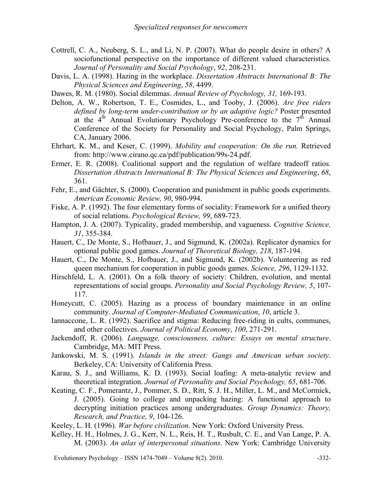- Cottrell, C. A., Neuberg, S. L., and Li, N. P. (2007). What do people desire in others? A sociofunctional perspective on the importance of different valued characteristics. *Journal of Personality and Social Psychology*, *92*, 208-231.
- Davis, L. A. (1998). Hazing in the workplace. *Dissertation Abstracts International B: The Physical Sciences and Engineering*, *58*, 4499.
- Dawes, R. M. (1980). Social dilemmas. *Annual Review of Psychology, 31,* 169-193.
- Delton, A. W., Robertson, T. E., Cosmides, L., and Tooby, J. (2006). *Are free riders defined by long-term under-contribution or by an adaptive logic?* Poster presented at the  $4<sup>th</sup>$  Annual Evolutionary Psychology Pre-conference to the  $7<sup>th</sup>$  Annual Conference of the Society for Personality and Social Psychology, Palm Springs, CA, January 2006.
- Ehrhart, K. M., and Keser, C. (1999). *Mobility and cooperation: On the run.* Retrieved from: http://www.cirano.qc.ca/pdf/publication/99s-24.pdf.
- Ermer, E. R. (2008). Coalitional support and the regulation of welfare tradeoff ratios. *Dissertation Abstracts International B: The Physical Sciences and Engineering*, *68*, 361.
- Fehr, E., and Gächter, S. (2000). Cooperation and punishment in public goods experiments. *American Economic Review, 90*, 980-994.
- Fiske, A. P. (1992). The four elementary forms of sociality: Framework for a unified theory of social relations. *Psychological Review, 99*, 689-723.
- Hampton, J. A. (2007). Typicality, graded membership, and vagueness. *Cognitive Science, 31*, 355-384.
- Hauert, C., De Monte, S., Hofbauer, J., and Sigmund, K. (2002a). Replicator dynamics for optional public good games. *Journal of Theoretical Biology, 218*, 187-194.
- Hauert, C., De Monte, S., Hofbauer, J., and Sigmund, K. (2002b). Volunteering as red queen mechanism for cooperation in public goods games. *Science, 296*, 1129-1132.
- Hirschfeld, L. A. (2001). On a folk theory of society: Children, evolution, and mental representations of social groups. *Personality and Social Psychology Review, 5*, 107- 117.
- Honeycutt, C. (2005). Hazing as a process of boundary maintenance in an online community. *Journal of Computer-Mediated Communication*, *10*, article 3.
- Iannaccone, L. R. (1992). Sacrifice and stigma: Reducing free-riding in cults, communes, and other collectives. *Journal of Political Economy*, *100*, 271-291.
- Jackendoff, R. (2006). *Language, consciousness, culture: Essays on mental structure*. Cambridge, MA: MIT Press.
- Jankowski, M. S. (1991). *Islands in the street: Gangs and American urban society*. Berkeley, CA: University of California Press.
- Karau, S. J., and Williams, K. D. (1993). Social loafing: A meta-analytic review and theoretical integration. *Journal of Personality and Social Psychology, 65*, 681-706.
- Keating, C. F., Pomerantz, J., Pommer, S. D., Ritt, S. J. H., Miller, L. M., and McCormick, J. (2005). Going to college and unpacking hazing: A functional approach to decrypting initiation practices among undergraduates. *Group Dynamics: Theory, Research, and Practice, 9*, 104-126.

Keeley, L. H. (1996). *War before civilization*. New York: Oxford University Press.

Kelley, H. H., Holmes, J. G., Kerr, N. L., Reis, H. T., Rusbult, C. E., and Van Lange, P. A. M. (2003). *An atlas of interpersonal situations*. New York: Cambridge University

Evolutionary Psychology – ISSN 1474-7049 – Volume 8(2). 2010. -332-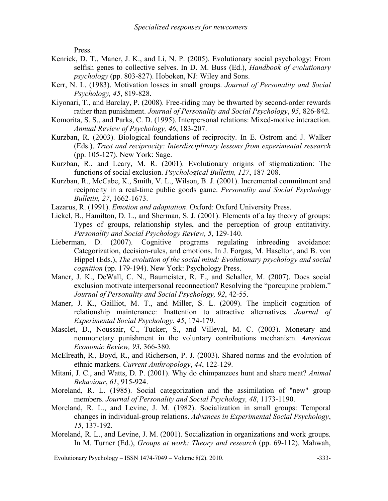Press.

- Kenrick, D. T., Maner, J. K., and Li, N. P. (2005). Evolutionary social psychology: From selfish genes to collective selves. In D. M. Buss (Ed.), *Handbook of evolutionary psychology* (pp. 803-827). Hoboken, NJ: Wiley and Sons.
- Kerr, N. L. (1983). Motivation losses in small groups. *Journal of Personality and Social Psychology, 45*, 819-828.
- Kiyonari, T., and Barclay, P. (2008). Free-riding may be thwarted by second-order rewards rather than punishment. *Journal of Personality and Social Psychology*, *95*, 826-842.
- Komorita, S. S., and Parks, C. D. (1995). Interpersonal relations: Mixed-motive interaction. *Annual Review of Psychology, 46*, 183-207.
- Kurzban, R. (2003). Biological foundations of reciprocity. In E. Ostrom and J. Walker (Eds.), *Trust and reciprocity: Interdisciplinary lessons from experimental research*  (pp. 105-127). New York: Sage.
- Kurzban, R., and Leary, M. R. (2001). Evolutionary origins of stigmatization: The functions of social exclusion. *Psychological Bulletin, 127*, 187-208.
- Kurzban, R., McCabe, K., Smith, V. L., Wilson, B. J. (2001). Incremental commitment and reciprocity in a real-time public goods game. *Personality and Social Psychology Bulletin, 27*, 1662-1673.
- Lazarus, R. (1991). *Emotion and adaptation*. Oxford: Oxford University Press.
- Lickel, B., Hamilton, D. L., and Sherman, S. J. (2001). Elements of a lay theory of groups: Types of groups, relationship styles, and the perception of group entitativity. *Personality and Social Psychology Review, 5*, 129-140.
- Lieberman, D. (2007). Cognitive programs regulating inbreeding avoidance: Categorization, decision-rules, and emotions. In J. Forgas, M. Haselton, and B. von Hippel (Eds.), *The evolution of the social mind: Evolutionary psychology and social cognition* (pp. 179-194). New York: Psychology Press.
- Maner, J. K., DeWall, C. N., Baumeister, R. F., and Schaller, M. (2007). Does social exclusion motivate interpersonal reconnection? Resolving the "porcupine problem." *Journal of Personality and Social Psychology, 92*, 42-55.
- Maner, J. K., Gailliot, M. T., and Miller, S. L. (2009). The implicit cognition of relationship maintenance: Inattention to attractive alternatives. *Journal of Experimental Social Psychology*, *45*, 174-179.
- Masclet, D., Noussair, C., Tucker, S., and Villeval, M. C. (2003). Monetary and nonmonetary punishment in the voluntary contributions mechanism. *American Economic Review, 93*, 366-380.
- McElreath, R., Boyd, R., and Richerson, P. J. (2003). Shared norms and the evolution of ethnic markers. *Current Anthropology*, *44*, 122-129.
- Mitani, J. C., and Watts, D. P. (2001). Why do chimpanzees hunt and share meat? *Animal Behaviour*, *61*, 915-924.
- Moreland, R. L. (1985). Social categorization and the assimilation of "new" group members. *Journal of Personality and Social Psychology, 48*, 1173-1190.
- Moreland, R. L., and Levine, J. M. (1982). Socialization in small groups: Temporal changes in individual-group relations. *Advances in Experimental Social Psychology*, *15*, 137-192.
- Moreland, R. L., and Levine, J. M. (2001). Socialization in organizations and work groups*.* In M. Turner (Ed.), *Groups at work: Theory and research* (pp. 69-112). Mahwah,

Evolutionary Psychology – ISSN 1474-7049 – Volume 8(2). 2010. -333-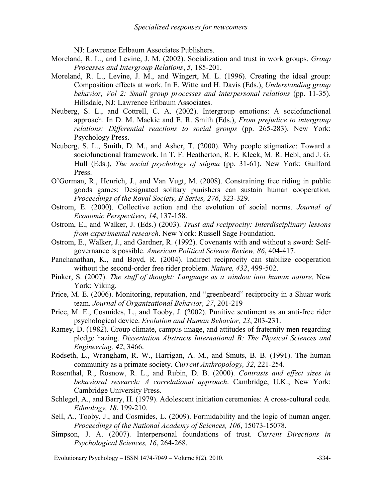NJ: Lawrence Erlbaum Associates Publishers.

- Moreland, R. L., and Levine, J. M. (2002). Socialization and trust in work groups. *Group Processes and Intergroup Relations*, *5*, 185-201.
- Moreland, R. L., Levine, J. M., and Wingert, M. L. (1996). Creating the ideal group: Composition effects at work*.* In E. Witte and H. Davis (Eds.), *Understanding group behavior, Vol 2: Small group processes and interpersonal relations (pp. 11-35).* Hillsdale, NJ: Lawrence Erlbaum Associates.
- Neuberg, S. L., and Cottrell, C. A. (2002). Intergroup emotions: A sociofunctional approach. In D. M. Mackie and E. R. Smith (Eds.), *From prejudice to intergroup relations: Differential reactions to social groups* (pp. 265-283). New York: Psychology Press.
- Neuberg, S. L., Smith, D. M., and Asher, T. (2000). Why people stigmatize: Toward a sociofunctional framework. In T. F. Heatherton, R. E. Kleck, M. R. Hebl, and J. G. Hull (Eds.), *The social psychology of stigma* (pp. 31-61). New York: Guilford Press.
- O'Gorman, R., Henrich, J., and Van Vugt, M. (2008). Constraining free riding in public goods games: Designated solitary punishers can sustain human cooperation. *Proceedings of the Royal Society, B Series, 276*, 323-329.
- Ostrom, E. (2000). Collective action and the evolution of social norms. *Journal of Economic Perspectives, 14*, 137-158.
- Ostrom, E., and Walker, J. (Eds.) (2003). *Trust and reciprocity: Interdisciplinary lessons from experimental research*. New York: Russell Sage Foundation.
- Ostrom, E., Walker, J., and Gardner, R. (1992). Covenants with and without a sword: Selfgovernance is possible. *American Political Science Review, 86*, 404-417.
- Panchanathan, K., and Boyd, R. (2004). Indirect reciprocity can stabilize cooperation without the second-order free rider problem. *Nature, 432*, 499-502.
- Pinker, S. (2007). *The stuff of thought: Language as a window into human nature*. New York: Viking.
- Price, M. E. (2006). Monitoring, reputation, and "greenbeard" reciprocity in a Shuar work team. *Journal of Organizational Behavior, 27*, 201-219
- Price, M. E., Cosmides, L., and Tooby, J. (2002). Punitive sentiment as an anti-free rider psychological device. *Evolution and Human Behavior, 23*, 203-231.
- Ramey, D. (1982). Group climate, campus image, and attitudes of fraternity men regarding pledge hazing. *Dissertation Abstracts International B: The Physical Sciences and Engineering, 42*, 3466.
- Rodseth, L., Wrangham, R. W., Harrigan, A. M., and Smuts, B. B. (1991). The human community as a primate society. *Current Anthropology, 32*, 221-254.
- Rosenthal, R., Rosnow, R. L., and Rubin, D. B. (2000). *Contrasts and effect sizes in behavioral research: A correlational approach*. Cambridge, U.K.; New York: Cambridge University Press.
- Schlegel, A., and Barry, H. (1979). Adolescent initiation ceremonies: A cross-cultural code. *Ethnology, 18*, 199-210.
- Sell, A., Tooby, J., and Cosmides, L. (2009). Formidability and the logic of human anger. *Proceedings of the National Academy of Sciences, 106*, 15073-15078.
- Simpson, J. A. (2007). Interpersonal foundations of trust. *Current Directions in Psychological Sciences, 16*, 264-268.

Evolutionary Psychology – ISSN 1474-7049 – Volume 8(2). 2010. -334-